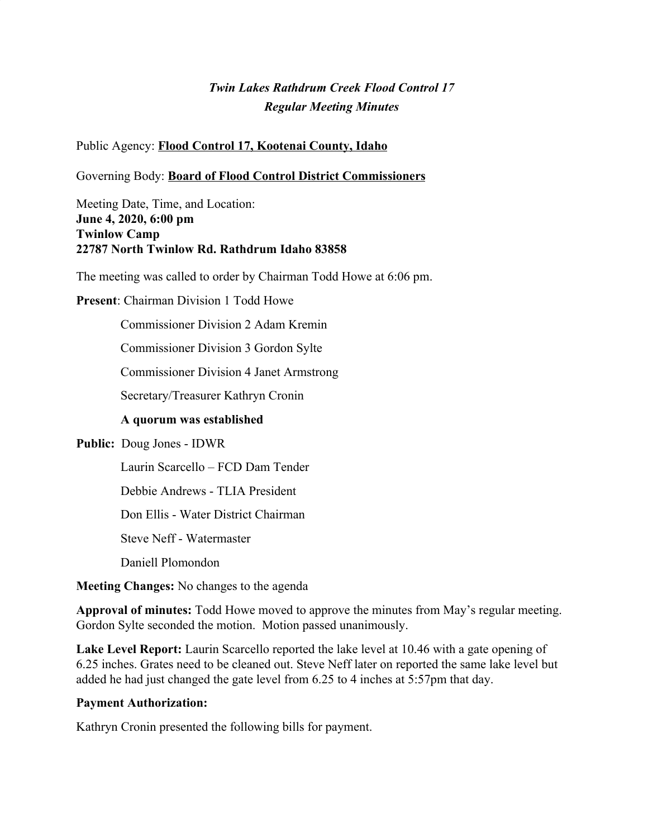# *Twin Lakes Rathdrum Creek Flood Control 17 Regular Meeting Minutes*

#### Public Agency: **Flood Control 17, Kootenai County, Idaho**

#### Governing Body: **Board of Flood Control District Commissioners**

Meeting Date, Time, and Location: **June 4, 2020, 6:00 pm Twinlow Camp 22787 North Twinlow Rd. Rathdrum Idaho 83858**

The meeting was called to order by Chairman Todd Howe at 6:06 pm.

#### **Present**: Chairman Division 1 Todd Howe

Commissioner Division 2 Adam Kremin

Commissioner Division 3 Gordon Sylte

Commissioner Division 4 Janet Armstrong

Secretary/Treasurer Kathryn Cronin

#### **A quorum was established**

#### **Public:** Doug Jones - IDWR

Laurin Scarcello – FCD Dam Tender

Debbie Andrews - TLIA President

Don Ellis - Water District Chairman

Steve Neff - Watermaster

Daniell Plomondon

**Meeting Changes:** No changes to the agenda

**Approval of minutes:** Todd Howe moved to approve the minutes from May's regular meeting. Gordon Sylte seconded the motion. Motion passed unanimously.

**Lake Level Report:** Laurin Scarcello reported the lake level at 10.46 with a gate opening of 6.25 inches. Grates need to be cleaned out. Steve Neff later on reported the same lake level but added he had just changed the gate level from 6.25 to 4 inches at 5:57pm that day.

#### **Payment Authorization:**

Kathryn Cronin presented the following bills for payment.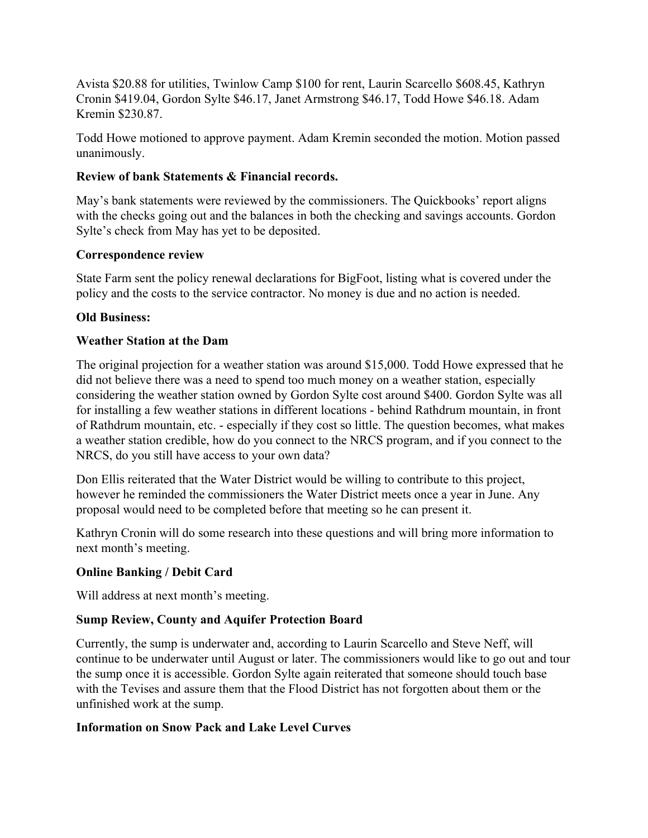Avista \$20.88 for utilities, Twinlow Camp \$100 for rent, Laurin Scarcello \$608.45, Kathryn Cronin \$419.04, Gordon Sylte \$46.17, Janet Armstrong \$46.17, Todd Howe \$46.18. Adam Kremin \$230.87.

Todd Howe motioned to approve payment. Adam Kremin seconded the motion. Motion passed unanimously.

### **Review of bank Statements & Financial records.**

May's bank statements were reviewed by the commissioners. The Quickbooks' report aligns with the checks going out and the balances in both the checking and savings accounts. Gordon Sylte's check from May has yet to be deposited.

### **Correspondence review**

State Farm sent the policy renewal declarations for BigFoot, listing what is covered under the policy and the costs to the service contractor. No money is due and no action is needed.

# **Old Business:**

# **Weather Station at the Dam**

The original projection for a weather station was around \$15,000. Todd Howe expressed that he did not believe there was a need to spend too much money on a weather station, especially considering the weather station owned by Gordon Sylte cost around \$400. Gordon Sylte was all for installing a few weather stations in different locations - behind Rathdrum mountain, in front of Rathdrum mountain, etc. - especially if they cost so little. The question becomes, what makes a weather station credible, how do you connect to the NRCS program, and if you connect to the NRCS, do you still have access to your own data?

Don Ellis reiterated that the Water District would be willing to contribute to this project, however he reminded the commissioners the Water District meets once a year in June. Any proposal would need to be completed before that meeting so he can present it.

Kathryn Cronin will do some research into these questions and will bring more information to next month's meeting.

# **Online Banking / Debit Card**

Will address at next month's meeting.

# **Sump Review, County and Aquifer Protection Board**

Currently, the sump is underwater and, according to Laurin Scarcello and Steve Neff, will continue to be underwater until August or later. The commissioners would like to go out and tour the sump once it is accessible. Gordon Sylte again reiterated that someone should touch base with the Tevises and assure them that the Flood District has not forgotten about them or the unfinished work at the sump.

# **Information on Snow Pack and Lake Level Curves**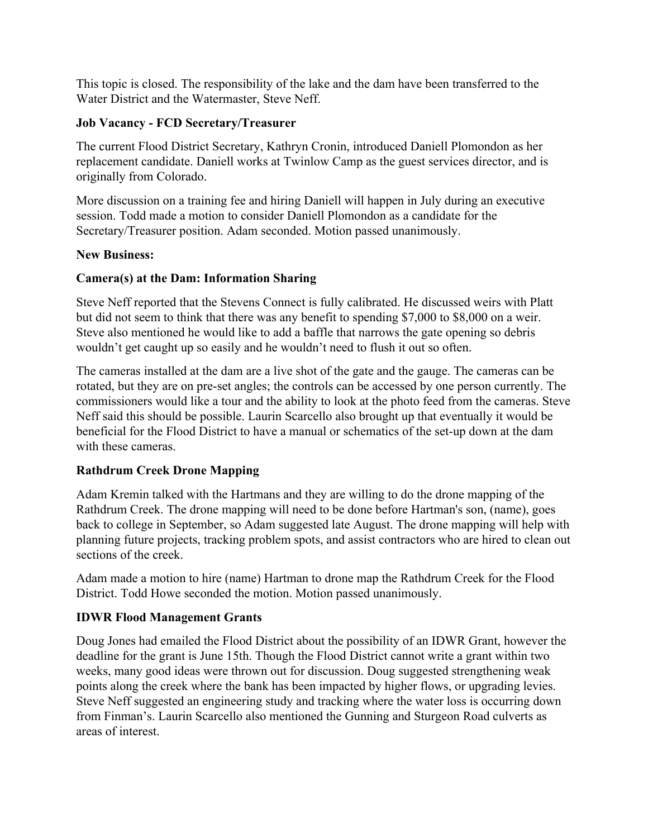This topic is closed. The responsibility of the lake and the dam have been transferred to the Water District and the Watermaster, Steve Neff.

### **Job Vacancy - FCD Secretary/Treasurer**

The current Flood District Secretary, Kathryn Cronin, introduced Daniell Plomondon as her replacement candidate. Daniell works at Twinlow Camp as the guest services director, and is originally from Colorado.

More discussion on a training fee and hiring Daniell will happen in July during an executive session. Todd made a motion to consider Daniell Plomondon as a candidate for the Secretary/Treasurer position. Adam seconded. Motion passed unanimously.

#### **New Business:**

### **Camera(s) at the Dam: Information Sharing**

Steve Neff reported that the Stevens Connect is fully calibrated. He discussed weirs with Platt but did not seem to think that there was any benefit to spending \$7,000 to \$8,000 on a weir. Steve also mentioned he would like to add a baffle that narrows the gate opening so debris wouldn't get caught up so easily and he wouldn't need to flush it out so often.

The cameras installed at the dam are a live shot of the gate and the gauge. The cameras can be rotated, but they are on pre-set angles; the controls can be accessed by one person currently. The commissioners would like a tour and the ability to look at the photo feed from the cameras. Steve Neff said this should be possible. Laurin Scarcello also brought up that eventually it would be beneficial for the Flood District to have a manual or schematics of the set-up down at the dam with these cameras.

# **Rathdrum Creek Drone Mapping**

Adam Kremin talked with the Hartmans and they are willing to do the drone mapping of the Rathdrum Creek. The drone mapping will need to be done before Hartman's son, (name), goes back to college in September, so Adam suggested late August. The drone mapping will help with planning future projects, tracking problem spots, and assist contractors who are hired to clean out sections of the creek.

Adam made a motion to hire (name) Hartman to drone map the Rathdrum Creek for the Flood District. Todd Howe seconded the motion. Motion passed unanimously.

# **IDWR Flood Management Grants**

Doug Jones had emailed the Flood District about the possibility of an IDWR Grant, however the deadline for the grant is June 15th. Though the Flood District cannot write a grant within two weeks, many good ideas were thrown out for discussion. Doug suggested strengthening weak points along the creek where the bank has been impacted by higher flows, or upgrading levies. Steve Neff suggested an engineering study and tracking where the water loss is occurring down from Finman's. Laurin Scarcello also mentioned the Gunning and Sturgeon Road culverts as areas of interest.